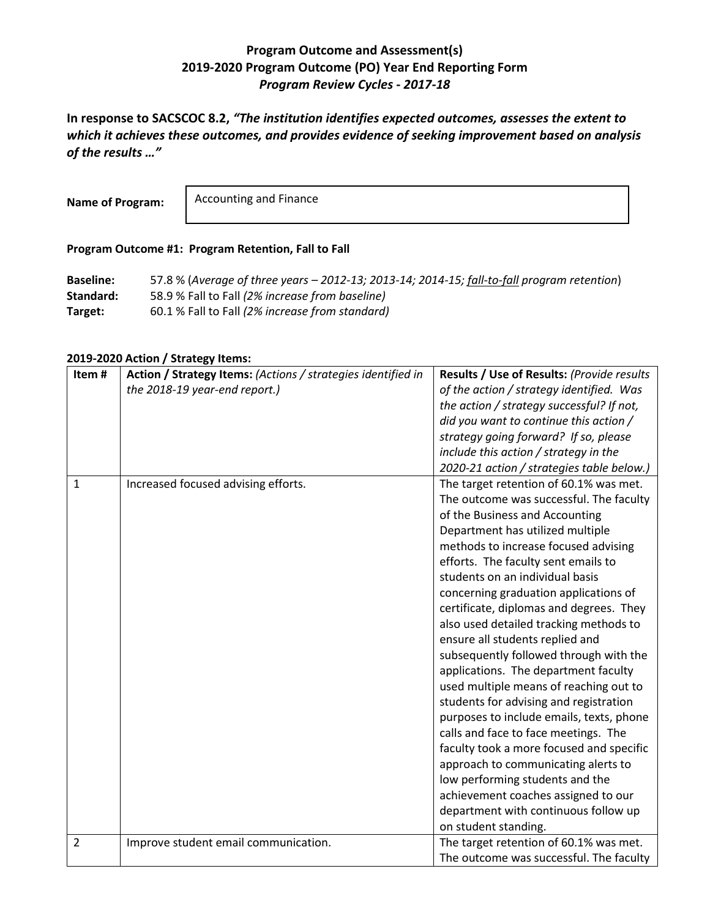## **Program Outcome and Assessment(s) 2019-2020 Program Outcome (PO) Year End Reporting Form** *Program Review Cycles - 2017-18*

**In response to SACSCOC 8.2,** *"The institution identifies expected outcomes, assesses the extent to which it achieves these outcomes, and provides evidence of seeking improvement based on analysis of the results …"*

**Name of Program:**

Accounting and Finance

## **Program Outcome #1: Program Retention, Fall to Fall**

**Baseline:** 57.8 % (*Average of three years – 2012-13; 2013-14; 2014-15; fall-to-fall program retention*) **Standard:** 58.9 % Fall to Fall *(2% increase from baseline)* **Target:** 60.1 % Fall to Fall *(2% increase from standard)*

## **2019-2020 Action / Strategy Items:**

| Item#          | Action / Strategy Items: (Actions / strategies identified in | Results / Use of Results: (Provide results |
|----------------|--------------------------------------------------------------|--------------------------------------------|
|                | the 2018-19 year-end report.)                                | of the action / strategy identified. Was   |
|                |                                                              | the action / strategy successful? If not,  |
|                |                                                              | did you want to continue this action /     |
|                |                                                              | strategy going forward? If so, please      |
|                |                                                              | include this action / strategy in the      |
|                |                                                              | 2020-21 action / strategies table below.)  |
| $\mathbf{1}$   | Increased focused advising efforts.                          | The target retention of 60.1% was met.     |
|                |                                                              | The outcome was successful. The faculty    |
|                |                                                              | of the Business and Accounting             |
|                |                                                              | Department has utilized multiple           |
|                |                                                              | methods to increase focused advising       |
|                |                                                              | efforts. The faculty sent emails to        |
|                |                                                              | students on an individual basis            |
|                |                                                              | concerning graduation applications of      |
|                |                                                              | certificate, diplomas and degrees. They    |
|                |                                                              | also used detailed tracking methods to     |
|                |                                                              | ensure all students replied and            |
|                |                                                              | subsequently followed through with the     |
|                |                                                              | applications. The department faculty       |
|                |                                                              | used multiple means of reaching out to     |
|                |                                                              | students for advising and registration     |
|                |                                                              | purposes to include emails, texts, phone   |
|                |                                                              | calls and face to face meetings. The       |
|                |                                                              | faculty took a more focused and specific   |
|                |                                                              | approach to communicating alerts to        |
|                |                                                              | low performing students and the            |
|                |                                                              | achievement coaches assigned to our        |
|                |                                                              | department with continuous follow up       |
|                |                                                              | on student standing.                       |
| $\overline{2}$ | Improve student email communication.                         | The target retention of 60.1% was met.     |
|                |                                                              | The outcome was successful. The faculty    |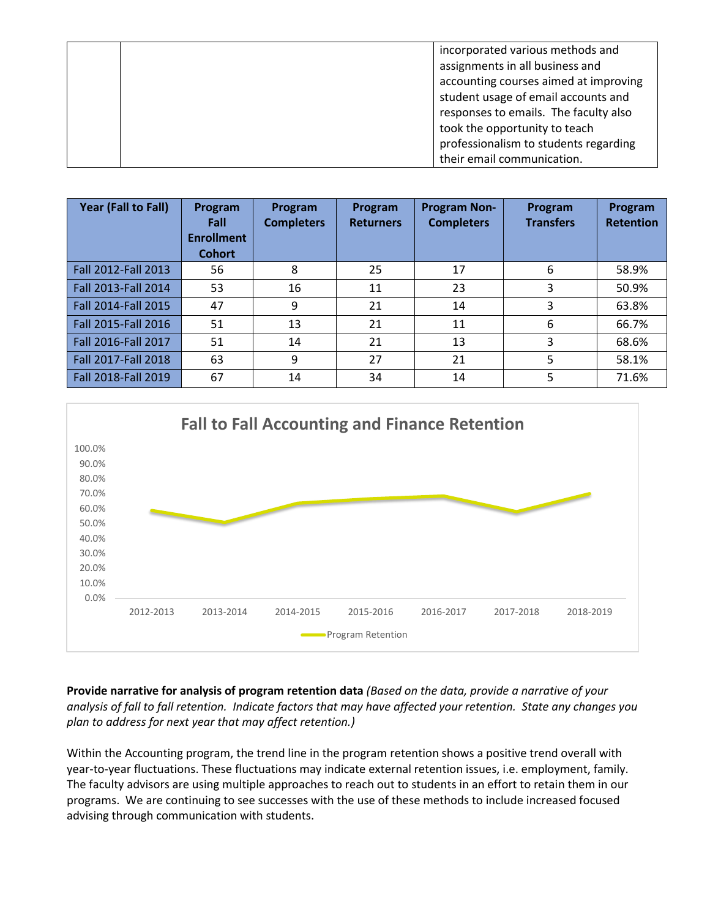|  | incorporated various methods and      |
|--|---------------------------------------|
|  | assignments in all business and       |
|  | accounting courses aimed at improving |
|  | student usage of email accounts and   |
|  | responses to emails. The faculty also |
|  | took the opportunity to teach         |
|  | professionalism to students regarding |
|  | their email communication.            |

| Year (Fall to Fall) | Program<br>Fall<br><b>Enrollment</b><br><b>Cohort</b> | Program<br><b>Completers</b> | Program<br><b>Returners</b> | <b>Program Non-</b><br><b>Completers</b> | Program<br><b>Transfers</b> | Program<br><b>Retention</b> |
|---------------------|-------------------------------------------------------|------------------------------|-----------------------------|------------------------------------------|-----------------------------|-----------------------------|
| Fall 2012-Fall 2013 | 56                                                    | 8                            | 25                          | 17                                       | 6                           | 58.9%                       |
| Fall 2013-Fall 2014 | 53                                                    | 16                           | 11                          | 23                                       | 3                           | 50.9%                       |
| Fall 2014-Fall 2015 | 47                                                    | 9                            | 21                          | 14                                       | 3                           | 63.8%                       |
| Fall 2015-Fall 2016 | 51                                                    | 13                           | 21                          | 11                                       | 6                           | 66.7%                       |
| Fall 2016-Fall 2017 | 51                                                    | 14                           | 21                          | 13                                       | 3                           | 68.6%                       |
| Fall 2017-Fall 2018 | 63                                                    | 9                            | 27                          | 21                                       | 5                           | 58.1%                       |
| Fall 2018-Fall 2019 | 67                                                    | 14                           | 34                          | 14                                       | 5                           | 71.6%                       |



**Provide narrative for analysis of program retention data** *(Based on the data, provide a narrative of your analysis of fall to fall retention. Indicate factors that may have affected your retention. State any changes you plan to address for next year that may affect retention.)*

Within the Accounting program, the trend line in the program retention shows a positive trend overall with year-to-year fluctuations. These fluctuations may indicate external retention issues, i.e. employment, family. The faculty advisors are using multiple approaches to reach out to students in an effort to retain them in our programs. We are continuing to see successes with the use of these methods to include increased focused advising through communication with students.